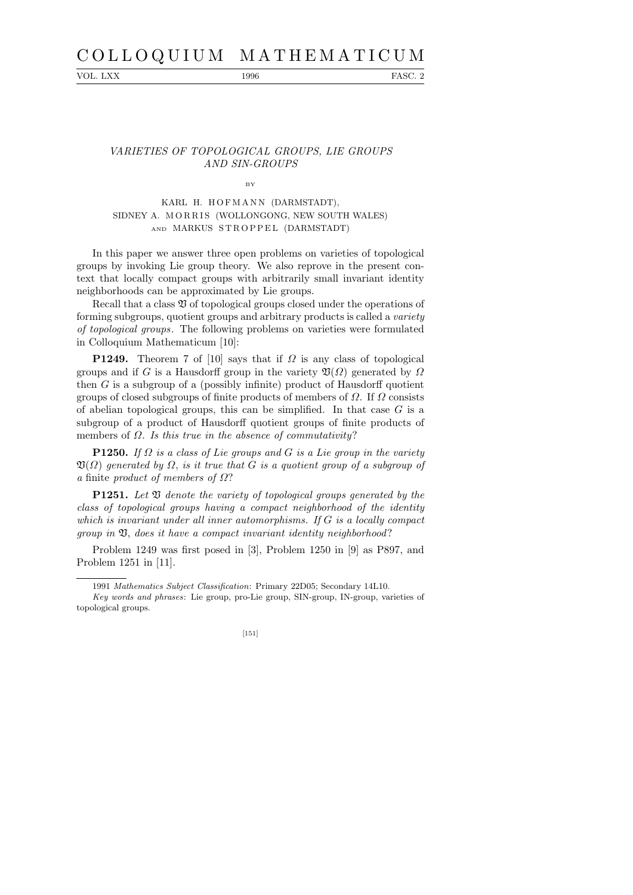# C O L L O Q U I U M M A T H E M A T I C U M

VOL. LXX 1996 FASC. 2

## VARIETIES OF TOPOLOGICAL GROUPS, LIE GROUPS AND SIN-GROUPS

BY

# KARL H. HOFMANN (DARMSTADT), SIDNEY A. MORRIS (WOLLONGONG, NEW SOUTH WALES) AND MARKUS STROPPEL (DARMSTADT)

In this paper we answer three open problems on varieties of topological groups by invoking Lie group theory. We also reprove in the present context that locally compact groups with arbitrarily small invariant identity neighborhoods can be approximated by Lie groups.

Recall that a class  $\mathfrak V$  of topological groups closed under the operations of forming subgroups, quotient groups and arbitrary products is called a variety of topological groups. The following problems on varieties were formulated in Colloquium Mathematicum [10]:

**P1249.** Theorem 7 of [10] says that if  $\Omega$  is any class of topological groups and if G is a Hausdorff group in the variety  $\mathfrak{V}(\Omega)$  generated by  $\Omega$ then  $G$  is a subgroup of a (possibly infinite) product of Hausdorff quotient groups of closed subgroups of finite products of members of  $\Omega$ . If  $\Omega$  consists of abelian topological groups, this can be simplified. In that case  $G$  is a subgroup of a product of Hausdorff quotient groups of finite products of members of  $\Omega$ . Is this true in the absence of commutativity?

**P1250.** If  $\Omega$  is a class of Lie groups and G is a Lie group in the variety  $\mathfrak{V}(\Omega)$  generated by  $\Omega$ , is it true that G is a quotient group of a subgroup of a finite product of members of Ω?

**P1251.** Let  $\mathfrak V$  denote the variety of topological groups generated by the class of topological groups having a compact neighborhood of the identity which is invariant under all inner automorphisms. If G is a locally compact group in  $\mathfrak V$ , does it have a compact invariant identity neighborhood?

Problem 1249 was first posed in [3], Problem 1250 in [9] as P897, and Problem 1251 in [11].

*Key words and phrases*: Lie group, pro-Lie group, SIN-group, IN-group, varieties of topological groups.



<sup>1991</sup> *Mathematics Subject Classification*: Primary 22D05; Secondary 14L10.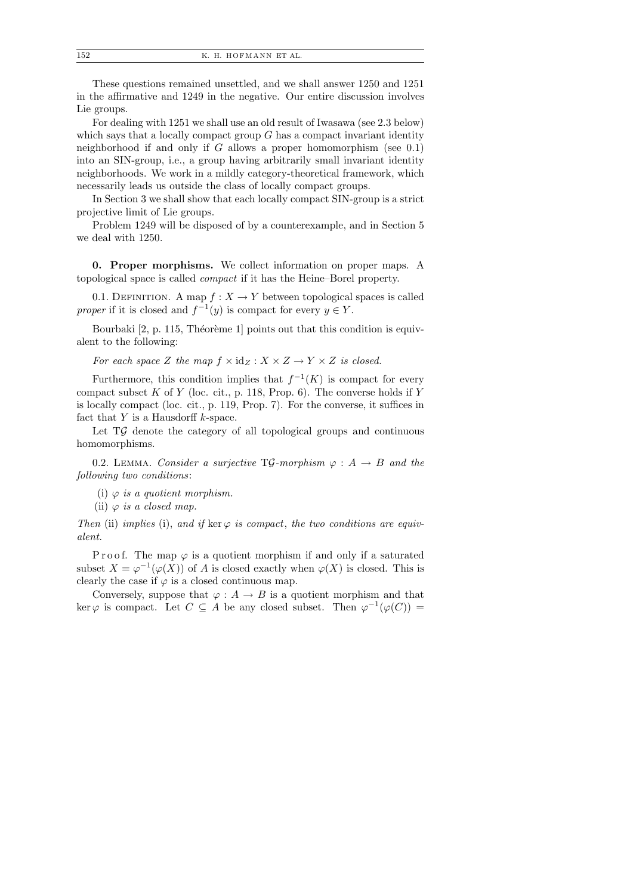These questions remained unsettled, and we shall answer 1250 and 1251 in the affirmative and 1249 in the negative. Our entire discussion involves Lie groups.

For dealing with 1251 we shall use an old result of Iwasawa (see 2.3 below) which says that a locally compact group  $G$  has a compact invariant identity neighborhood if and only if  $G$  allows a proper homomorphism (see 0.1) into an SIN-group, i.e., a group having arbitrarily small invariant identity neighborhoods. We work in a mildly category-theoretical framework, which necessarily leads us outside the class of locally compact groups.

In Section 3 we shall show that each locally compact SIN-group is a strict projective limit of Lie groups.

Problem 1249 will be disposed of by a counterexample, and in Section 5 we deal with 1250.

0. Proper morphisms. We collect information on proper maps. A topological space is called compact if it has the Heine–Borel property.

0.1. DEFINITION. A map  $f: X \to Y$  between topological spaces is called proper if it is closed and  $f^{-1}(y)$  is compact for every  $y \in Y$ .

Bourbaki  $[2, p. 115,$  Théorème 1] points out that this condition is equivalent to the following:

For each space Z the map  $f \times id_Z : X \times Z \to Y \times Z$  is closed.

Furthermore, this condition implies that  $f^{-1}(K)$  is compact for every compact subset  $K$  of  $Y$  (loc. cit., p. 118, Prop. 6). The converse holds if  $Y$ is locally compact (loc. cit., p. 119, Prop. 7). For the converse, it suffices in fact that  $Y$  is a Hausdorff  $k$ -space.

Let  $T\mathcal{G}$  denote the category of all topological groups and continuous homomorphisms.

0.2. LEMMA. Consider a surjective TG-morphism  $\varphi : A \rightarrow B$  and the following two conditions:

(i)  $\varphi$  is a quotient morphism.

(ii)  $\varphi$  is a closed map.

Then (ii) implies (i), and if ker  $\varphi$  is compact, the two conditions are equivalent.

P r o o f. The map  $\varphi$  is a quotient morphism if and only if a saturated subset  $X = \varphi^{-1}(\varphi(X))$  of A is closed exactly when  $\varphi(X)$  is closed. This is clearly the case if  $\varphi$  is a closed continuous map.

Conversely, suppose that  $\varphi : A \to B$  is a quotient morphism and that ker  $\varphi$  is compact. Let  $C \subseteq A$  be any closed subset. Then  $\varphi^{-1}(\varphi(C)) =$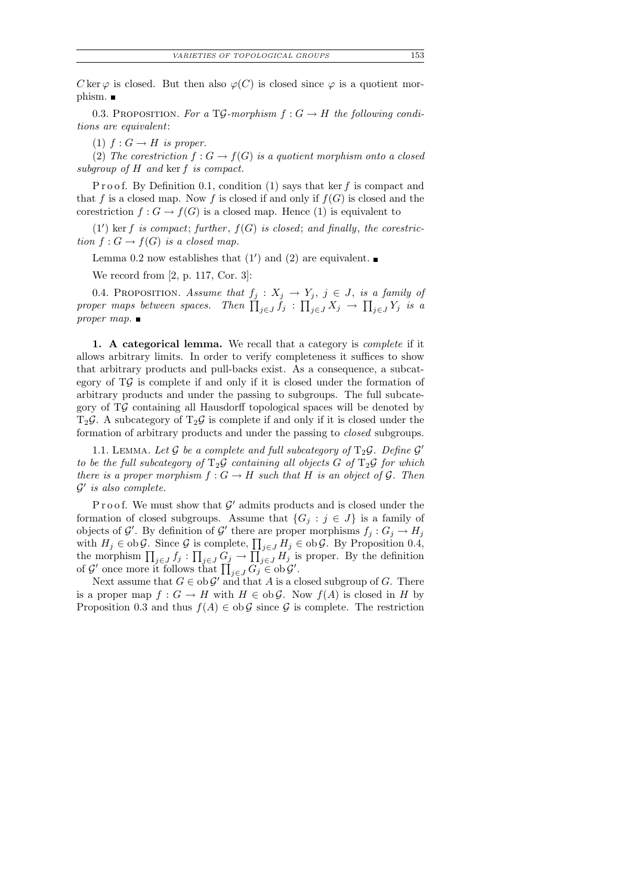C ker  $\varphi$  is closed. But then also  $\varphi(C)$  is closed since  $\varphi$  is a quotient morphism.  $\blacksquare$ 

0.3. PROPOSITION. For a TG-morphism  $f: G \to H$  the following conditions are equivalent:

(1)  $f: G \to H$  is proper.

(2) The corestriction  $f: G \to f(G)$  is a quotient morphism onto a closed subgroup of H and ker f is compact.

P r o o f. By Definition 0.1, condition (1) says that ker f is compact and that f is a closed map. Now f is closed if and only if  $f(G)$  is closed and the corestriction  $f: G \to f(G)$  is a closed map. Hence (1) is equivalent to

 $(1')$  ker f is compact; further,  $f(G)$  is closed; and finally, the corestriction  $f: G \to f(G)$  is a closed map.

Lemma 0.2 now establishes that  $(1')$  and  $(2)$  are equivalent.

We record from [2, p. 117, Cor. 3]:

0.4. PROPOSITION. Assume that  $f_j : X_j \to Y_j$ ,  $j \in J$ , is a family of proper maps between spaces. Then  $\prod_{j\in J} f_j$  :  $\prod_{j\in J} X_j \to \prod_{j\in J} Y_j$  is a proper map.  $\blacksquare$ 

1. A categorical lemma. We recall that a category is *complete* if it allows arbitrary limits. In order to verify completeness it suffices to show that arbitrary products and pull-backs exist. As a consequence, a subcategory of  $T\mathcal{G}$  is complete if and only if it is closed under the formation of arbitrary products and under the passing to subgroups. The full subcategory of TG containing all Hausdorff topological spaces will be denoted by  $T_2\mathcal{G}$ . A subcategory of  $T_2\mathcal{G}$  is complete if and only if it is closed under the formation of arbitrary products and under the passing to closed subgroups.

1.1. LEMMA. Let  $\mathcal G$  be a complete and full subcategory of  $T_2\mathcal G$ . Define  $\mathcal G'$ to be the full subcategory of  $T_2\mathcal{G}$  containing all objects G of  $T_2\mathcal{G}$  for which there is a proper morphism  $f: G \to H$  such that H is an object of G. Then  $\mathcal{G}'$  is also complete.

Proof. We must show that  $\mathcal{G}'$  admits products and is closed under the formation of closed subgroups. Assume that  $\{G_j : j \in J\}$  is a family of objects of  $\mathcal{G}'$ . By definition of  $\mathcal{G}'$  there are proper morphisms  $f_j: G_j \to H_j$ with  $H_j \in \text{ob } \mathcal{G}$ . Since  $\mathcal G$  is complete,  $\prod_{j\in J} H_j \in \text{ob } \mathcal{G}$ . By Proposition 0.4, the morphism  $\prod_{j\in J} f_j : \prod_{j\in J} G_j \to \prod_{j\in J} H_j$  is proper. By the definition of  $\mathcal{G}'$  once more it follows that  $\prod_{j\in J} G_j \in ob \mathcal{G}'$ .

Next assume that  $G \in ob \mathcal{G}'$  and that A is a closed subgroup of G. There is a proper map  $f: G \to H$  with  $H \in ob \mathcal{G}$ . Now  $f(A)$  is closed in H by Proposition 0.3 and thus  $f(A) \in ob \mathcal{G}$  since  $\mathcal{G}$  is complete. The restriction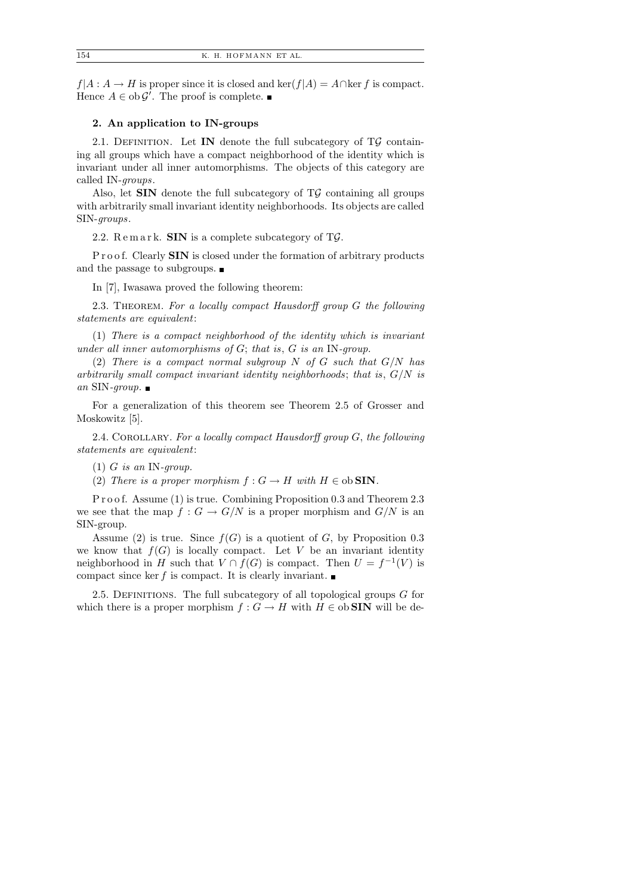$f|A: A \to H$  is proper since it is closed and ker $(f|A) = A \cap \text{ker } f$  is compact. Hence  $A \in ob \mathcal{G}'$ . The proof is complete.

## 2. An application to IN-groups

2.1. DEFINITION. Let IN denote the full subcategory of  $T\mathcal{G}$  containing all groups which have a compact neighborhood of the identity which is invariant under all inner automorphisms. The objects of this category are called IN-groups.

Also, let  $SIN$  denote the full subcategory of  $T\mathcal{G}$  containing all groups with arbitrarily small invariant identity neighborhoods. Its objects are called SIN-groups.

2.2.  $\text{Remark.}$  SIN is a complete subcategory of T $\mathcal{G}$ .

P r o o f. Clearly **SIN** is closed under the formation of arbitrary products and the passage to subgroups.  $\blacksquare$ 

In [7], Iwasawa proved the following theorem:

2.3. THEOREM. For a locally compact Hausdorff group G the following statements are equivalent:

(1) There is a compact neighborhood of the identity which is invariant under all inner automorphisms of G; that is, G is an IN-group.

(2) There is a compact normal subgroup  $N$  of  $G$  such that  $G/N$  has arbitrarily small compact invariant identity neighborhoods; that is,  $G/N$  is an SIN-group.  $\blacksquare$ 

For a generalization of this theorem see Theorem 2.5 of Grosser and Moskowitz [5].

2.4. COROLLARY. For a locally compact Hausdorff group  $G$ , the following statements are equivalent:

(2) There is a proper morphism  $f: G \to H$  with  $H \in ob$  SIN.

P r o o f. Assume (1) is true. Combining Proposition 0.3 and Theorem 2.3 we see that the map  $f : G \to G/N$  is a proper morphism and  $G/N$  is an SIN-group.

Assume (2) is true. Since  $f(G)$  is a quotient of G, by Proposition 0.3 we know that  $f(G)$  is locally compact. Let V be an invariant identity neighborhood in H such that  $V \cap f(G)$  is compact. Then  $U = f^{-1}(V)$  is compact since ker f is compact. It is clearly invariant.

2.5. DEFINITIONS. The full subcategory of all topological groups  $G$  for which there is a proper morphism  $f : G \to H$  with  $H \in ob$  SIN will be de-

 $(1)$  G is an IN-qroup.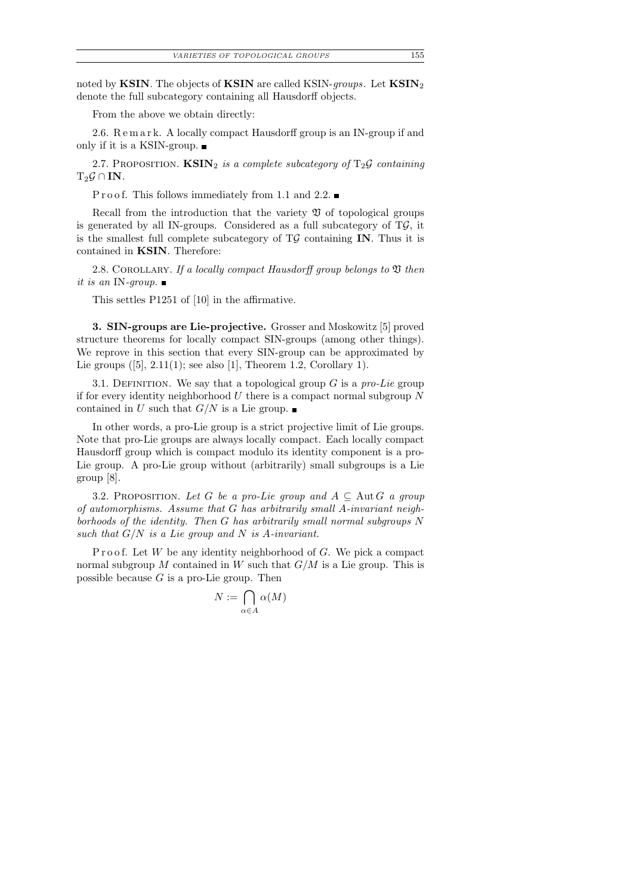noted by KSIN. The objects of KSIN are called KSIN-groups. Let  $\text{KSIN}_2$ denote the full subcategory containing all Hausdorff objects.

From the above we obtain directly:

2.6. R e m a r k. A locally compact Hausdorff group is an IN-group if and only if it is a KSIN-group.

2.7. PROPOSITION.  $\text{KSIN}_2$  is a complete subcategory of  $T_2\mathcal{G}$  containing  $T_2\mathcal{G} \cap IN$ .

P r o o f. This follows immediately from 1.1 and 2.2.

Recall from the introduction that the variety  $\mathfrak V$  of topological groups is generated by all IN-groups. Considered as a full subcategory of  $T\mathcal{G}$ , it is the smallest full complete subcategory of  $T\mathcal{G}$  containing IN. Thus it is contained in KSIN. Therefore:

2.8. COROLLARY. If a locally compact Hausdorff group belongs to  $\mathfrak V$  then it is an IN-qroup.  $\blacksquare$ 

This settles P1251 of [10] in the affirmative.

3. SIN-groups are Lie-projective. Grosser and Moskowitz [5] proved structure theorems for locally compact SIN-groups (among other things). We reprove in this section that every SIN-group can be approximated by Lie groups  $([5], 2.11(1);$  see also [1], Theorem 1.2, Corollary 1).

3.1. DEFINITION. We say that a topological group  $G$  is a *pro-Lie* group if for every identity neighborhood  $U$  there is a compact normal subgroup  $N$ contained in U such that  $G/N$  is a Lie group.

In other words, a pro-Lie group is a strict projective limit of Lie groups. Note that pro-Lie groups are always locally compact. Each locally compact Hausdorff group which is compact modulo its identity component is a pro-Lie group. A pro-Lie group without (arbitrarily) small subgroups is a Lie group [8].

3.2. PROPOSITION. Let G be a pro-Lie group and  $A \subseteq$  Aut G a group of automorphisms. Assume that G has arbitrarily small A-invariant neighborhoods of the identity. Then G has arbitrarily small normal subgroups N such that  $G/N$  is a Lie group and N is A-invariant.

P r o o f. Let  $W$  be any identity neighborhood of  $G$ . We pick a compact normal subgroup  $M$  contained in  $W$  such that  $G/M$  is a Lie group. This is possible because  $G$  is a pro-Lie group. Then

$$
N := \bigcap_{\alpha \in A} \alpha(M)
$$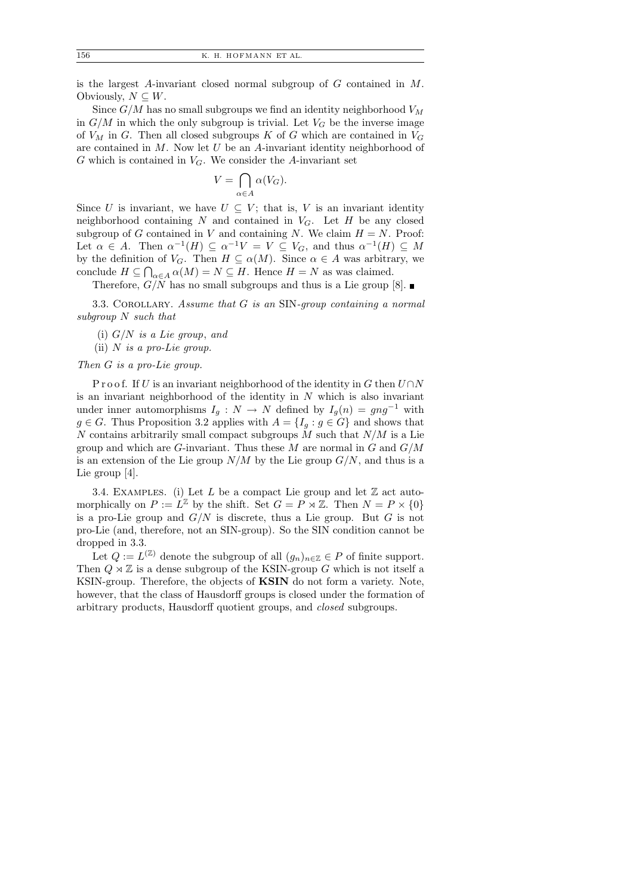is the largest A-invariant closed normal subgroup of G contained in M. Obviously,  $N \subseteq W$ .

Since  $G/M$  has no small subgroups we find an identity neighborhood  $V_M$ in  $G/M$  in which the only subgroup is trivial. Let  $V_G$  be the inverse image of  $V_M$  in G. Then all closed subgroups K of G which are contained in  $V_G$ are contained in  $M$ . Now let  $U$  be an A-invariant identity neighborhood of  $G$  which is contained in  $V_G$ . We consider the A-invariant set

$$
V = \bigcap_{\alpha \in A} \alpha(V_G).
$$

Since U is invariant, we have  $U \subseteq V$ ; that is, V is an invariant identity neighborhood containing N and contained in  $V_G$ . Let H be any closed subgroup of G contained in V and containing N. We claim  $H = N$ . Proof: Let  $\alpha \in A$ . Then  $\alpha^{-1}(H) \subseteq \alpha^{-1}V = V \subseteq V_G$ , and thus  $\alpha^{-1}(H) \subseteq M$ by the definition of  $V_G$ . Then  $H \subseteq \alpha(M)$ . Since  $\alpha \in A$  was arbitrary, we conclude  $H \subseteq \bigcap_{\alpha \in A} \alpha(M) = N \subseteq H$ . Hence  $H = N$  as was claimed.

Therefore,  $G/N$  has no small subgroups and thus is a Lie group [8].

3.3. Corollary. Assume that G is an SIN-group containing a normal subgroup N such that

- (i)  $G/N$  is a Lie group, and
- (ii)  $N$  is a pro-Lie group.

## Then G is a pro-Lie group.

P r o o f. If U is an invariant neighborhood of the identity in G then  $U \cap N$ is an invariant neighborhood of the identity in  $N$  which is also invariant under inner automorphisms  $I_g : N \to N$  defined by  $I_g(n) = g n g^{-1}$  with  $g \in G$ . Thus Proposition 3.2 applies with  $A = \{I_q : g \in G\}$  and shows that N contains arbitrarily small compact subgroups  $M$  such that  $N/M$  is a Lie group and which are G-invariant. Thus these  $M$  are normal in  $G$  and  $G/M$ is an extension of the Lie group  $N/M$  by the Lie group  $G/N$ , and thus is a Lie group [4].

3.4. EXAMPLES. (i) Let L be a compact Lie group and let  $\mathbb Z$  act automorphically on  $P := L^{\mathbb{Z}}$  by the shift. Set  $G = P \rtimes \mathbb{Z}$ . Then  $N = P \times \{0\}$ is a pro-Lie group and  $G/N$  is discrete, thus a Lie group. But G is not pro-Lie (and, therefore, not an SIN-group). So the SIN condition cannot be dropped in 3.3.

Let  $Q := L^{(\mathbb{Z})}$  denote the subgroup of all  $(g_n)_{n \in \mathbb{Z}} \in P$  of finite support. Then  $Q \rtimes \mathbb{Z}$  is a dense subgroup of the KSIN-group G which is not itself a KSIN-group. Therefore, the objects of KSIN do not form a variety. Note, however, that the class of Hausdorff groups is closed under the formation of arbitrary products, Hausdorff quotient groups, and closed subgroups.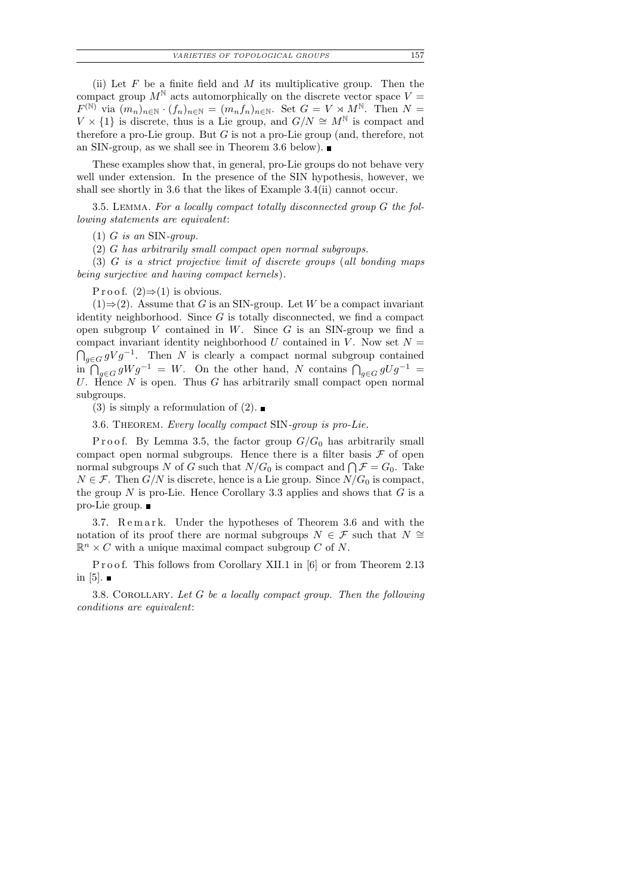(ii) Let  $F$  be a finite field and  $M$  its multiplicative group. Then the compact group  $M^{\mathbb{N}}$  acts automorphically on the discrete vector space  $V =$  $F^{(\mathbb{N})}$  via  $(m_n)_{n\in\mathbb{N}} \cdot (f_n)_{n\in\mathbb{N}} = (m_n f_n)_{n\in\mathbb{N}}$ . Set  $G = V \rtimes M^{\mathbb{N}}$ . Then  $N =$  $V \times \{1\}$  is discrete, thus is a Lie group, and  $G/N \cong M^{\mathbb{N}}$  is compact and

These examples show that, in general, pro-Lie groups do not behave very well under extension. In the presence of the SIN hypothesis, however, we shall see shortly in 3.6 that the likes of Example 3.4(ii) cannot occur.

therefore a pro-Lie group. But  $G$  is not a pro-Lie group (and, therefore, not

3.5. Lemma. For a locally compact totally disconnected group G the following statements are equivalent:

(1) G is an SIN-group.

(2) G has arbitrarily small compact open normal subgroups.

an SIN-group, as we shall see in Theorem 3.6 below).

(3) G is a strict projective limit of discrete groups (all bonding maps being surjective and having compact kernels).

P r o o f.  $(2) \Rightarrow (1)$  is obvious.

 $(1) \Rightarrow (2)$ . Assume that G is an SIN-group. Let W be a compact invariant identity neighborhood. Since  $G$  is totally disconnected, we find a compact open subgroup  $V$  contained in  $W$ . Since  $G$  is an SIN-group we find a compact invariant identity neighborhood U contained in V. Now set  $N =$  $\bigcap_{g\in G} gVg^{-1}$ . Then N is clearly a compact normal subgroup contained in  $\bigcap_{g\in G} gWg^{-1} = W$ . On the other hand, N contains  $\bigcap_{g\in G} gUg^{-1} =$ U. Hence  $N$  is open. Thus  $G$  has arbitrarily small compact open normal subgroups.

(3) is simply a reformulation of (2).

3.6. THEOREM. Every locally compact SIN-group is pro-Lie.

P r o o f. By Lemma 3.5, the factor group  $G/G_0$  has arbitrarily small compact open normal subgroups. Hence there is a filter basis  $\mathcal F$  of open normal subgroups N of G such that  $N/G_0$  is compact and  $\bigcap \mathcal{F} = G_0$ . Take  $N \in \mathcal{F}$ . Then  $G/N$  is discrete, hence is a Lie group. Since  $N/G_0$  is compact, the group  $N$  is pro-Lie. Hence Corollary 3.3 applies and shows that  $G$  is a pro-Lie group.

3.7. Remark. Under the hypotheses of Theorem 3.6 and with the notation of its proof there are normal subgroups  $N \in \mathcal{F}$  such that  $N \cong$  $\mathbb{R}^n \times C$  with a unique maximal compact subgroup C of N.

Proof. This follows from Corollary XII.1 in [6] or from Theorem 2.13 in [5].  $\blacksquare$ 

3.8. COROLLARY. Let  $G$  be a locally compact group. Then the following conditions are equivalent: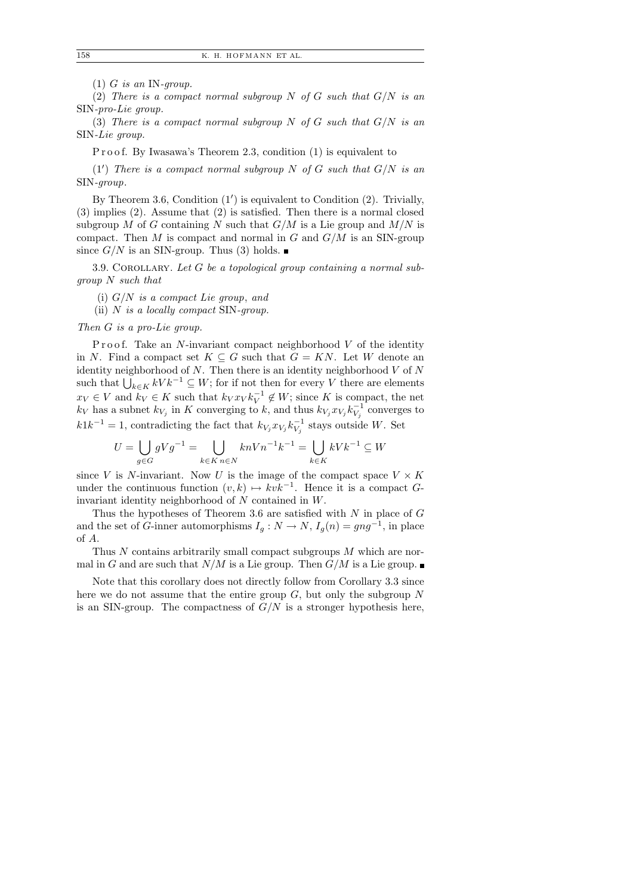$(1)$  G is an IN-qroup.

(2) There is a compact normal subgroup N of G such that  $G/N$  is an SIN-pro-Lie group.

(3) There is a compact normal subgroup N of G such that  $G/N$  is an SIN-Lie group.

P r o o f. By Iwasawa's Theorem 2.3, condition (1) is equivalent to

 $(1')$  There is a compact normal subgroup N of G such that  $G/N$  is an SIN-group.

By Theorem 3.6, Condition  $(1')$  is equivalent to Condition  $(2)$ . Trivially, (3) implies (2). Assume that (2) is satisfied. Then there is a normal closed subgroup M of G containing N such that  $G/M$  is a Lie group and  $M/N$  is compact. Then  $M$  is compact and normal in  $G$  and  $G/M$  is an SIN-group since  $G/N$  is an SIN-group. Thus (3) holds.

3.9. COROLLARY. Let  $G$  be a topological group containing a normal subgroup N such that

- (i)  $G/N$  is a compact Lie group, and
- (ii)  $N$  is a locally compact SIN-group.

Then G is a pro-Lie group.

P r o o f. Take an N-invariant compact neighborhood  $V$  of the identity in N. Find a compact set  $K \subseteq G$  such that  $G = KN$ . Let W denote an identity neighborhood of  $N$ . Then there is an identity neighborhood  $V$  of  $N$ such that  $\bigcup_{k\in K} kV k^{-1} \subseteq W$ ; for if not then for every V there are elements  $x_V \in V$  and  $k_V \in K$  such that  $k_V x_V k_V^{-1} \notin W$ ; since K is compact, the net  $k_V$  has a subnet  $k_{V_j}$  in K converging to k, and thus  $k_{V_j} x_{V_j} k_{V_j}^{-1}$  converges to  $k1k^{-1} = 1$ , contradicting the fact that  $k_{V_j} x_{V_j} k_{V_j}^{-1}$  stays outside W. Set

$$
U=\bigcup_{g\in G}gVg^{-1}=\bigcup_{k\in K}\, {}_{n\in N}\, k nVn^{-1}k^{-1}=\bigcup_{k\in K}\, kVk^{-1}\subseteq W
$$

since V is N-invariant. Now U is the image of the compact space  $V \times K$ under the continuous function  $(v, k) \mapsto kvk^{-1}$ . Hence it is a compact Ginvariant identity neighborhood of N contained in W.

Thus the hypotheses of Theorem 3.6 are satisfied with  $N$  in place of  $G$ and the set of G-inner automorphisms  $I_g: N \to N$ ,  $I_g(n) = gng^{-1}$ , in place of A.

Thus N contains arbitrarily small compact subgroups M which are normal in G and are such that  $N/M$  is a Lie group. Then  $G/M$  is a Lie group.

Note that this corollary does not directly follow from Corollary 3.3 since here we do not assume that the entire group  $G$ , but only the subgroup  $N$ is an SIN-group. The compactness of  $G/N$  is a stronger hypothesis here,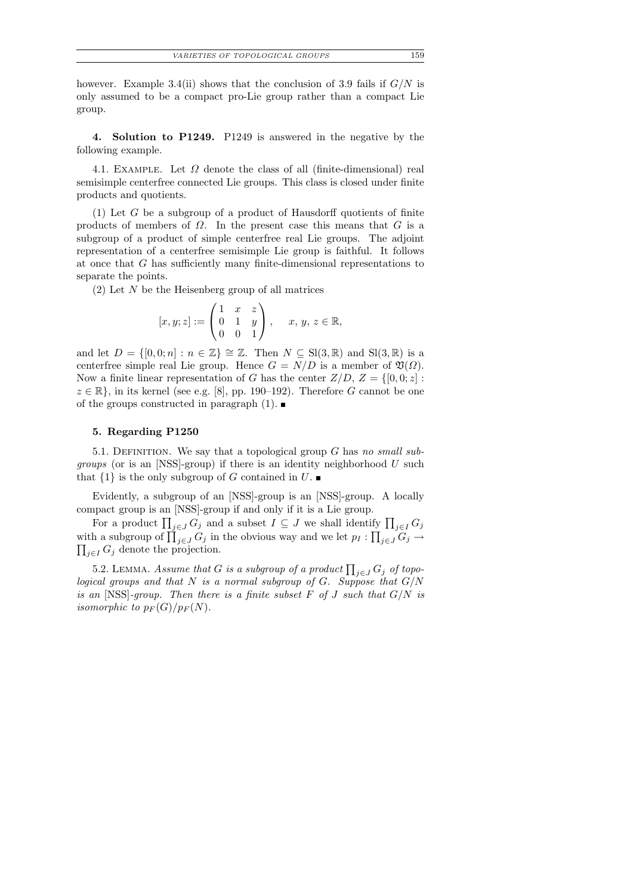however. Example 3.4(ii) shows that the conclusion of 3.9 fails if  $G/N$  is only assumed to be a compact pro-Lie group rather than a compact Lie group.

4. Solution to P1249. P1249 is answered in the negative by the following example.

4.1. EXAMPLE. Let  $\Omega$  denote the class of all (finite-dimensional) real semisimple centerfree connected Lie groups. This class is closed under finite products and quotients.

 $(1)$  Let G be a subgroup of a product of Hausdorff quotients of finite products of members of  $\Omega$ . In the present case this means that G is a subgroup of a product of simple centerfree real Lie groups. The adjoint representation of a centerfree semisimple Lie group is faithful. It follows at once that G has sufficiently many finite-dimensional representations to separate the points.

 $(2)$  Let N be the Heisenberg group of all matrices

$$
[x, y; z] := \begin{pmatrix} 1 & x & z \\ 0 & 1 & y \\ 0 & 0 & 1 \end{pmatrix}, \quad x, y, z \in \mathbb{R},
$$

and let  $D = \{[0,0;n] : n \in \mathbb{Z}\} \cong \mathbb{Z}$ . Then  $N \subseteq \text{Sl}(3,\mathbb{R})$  and  $\text{Sl}(3,\mathbb{R})$  is a centerfree simple real Lie group. Hence  $G = N/D$  is a member of  $\mathfrak{V}(\Omega)$ . Now a finite linear representation of G has the center  $Z/D$ ,  $Z = \{[0, 0; z] :$  $z \in \mathbb{R}$ , in its kernel (see e.g. [8], pp. 190–192). Therefore G cannot be one of the groups constructed in paragraph  $(1)$ .

#### 5. Regarding P1250

5.1. DEFINITION. We say that a topological group  $G$  has no small sub*groups* (or is an [NSS]-group) if there is an identity neighborhood  $U$  such that  $\{1\}$  is the only subgroup of G contained in U.

Evidently, a subgroup of an [NSS]-group is an [NSS]-group. A locally compact group is an [NSS]-group if and only if it is a Lie group.

For a product  $\prod_{j\in J} G_j$  and a subset  $I \subseteq J$  we shall identify  $\prod_{j\in I} G_j$ with a subgroup of  $\prod_{j\in J} G_j$  in the obvious way and we let  $p_I: \prod_{j\in J} G_j \to$  $\prod_{j\in I} G_j$  denote the projection.

5.2. LEMMA. Assume that G is a subgroup of a product  $\prod_{j\in J} G_j$  of topological groups and that N is a normal subgroup of G. Suppose that  $G/N$ is an  $[NSS]$ -group. Then there is a finite subset F of J such that  $G/N$  is isomorphic to  $p_F(G)/p_F(N)$ .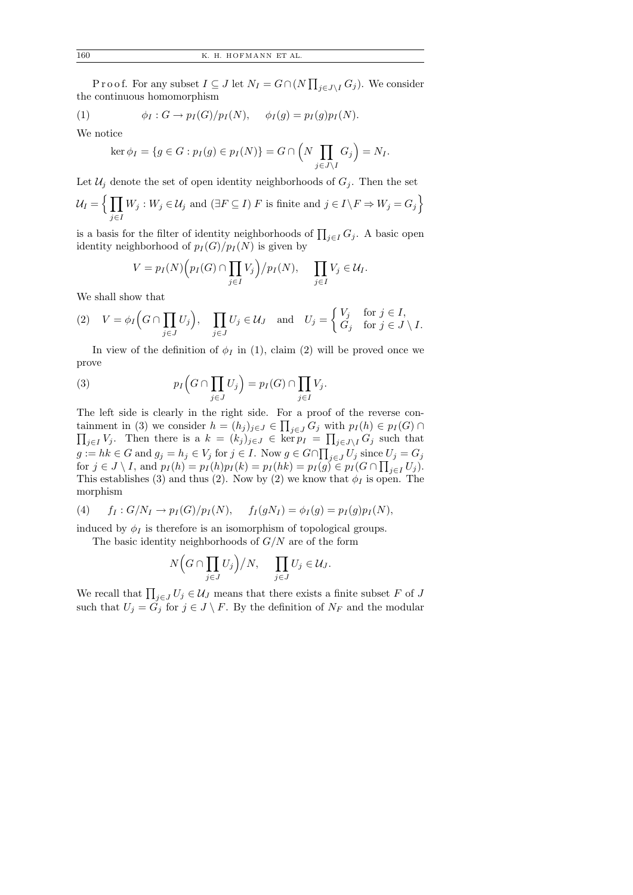P r o o f. For any subset  $I \subseteq J$  let  $N_I = G \cap (N \prod_{j \in J \setminus I} G_j)$ . We consider the continuous homomorphism

(1) 
$$
\phi_I: G \to p_I(G)/p_I(N), \quad \phi_I(g) = p_I(g)p_I(N).
$$

We notice

$$
\ker \phi_I = \{ g \in G : p_I(g) \in p_I(N) \} = G \cap \left( N \prod_{j \in J \setminus I} G_j \right) = N_I.
$$

Let  $\mathcal{U}_j$  denote the set of open identity neighborhoods of  $G_j$ . Then the set

$$
\mathcal{U}_I = \Big\{ \prod_{j \in I} W_j : W_j \in \mathcal{U}_j \text{ and } (\exists F \subseteq I) \ F \text{ is finite and } j \in I \setminus F \Rightarrow W_j = G_j \Big\}
$$

is a basis for the filter of identity neighborhoods of  $\prod_{j\in I} G_j$ . A basic open identity neighborhood of  $p_I(G)/p_I(N)$  is given by

$$
V = p_I(N) \Big( p_I(G) \cap \prod_{j \in I} V_j \Big) / p_I(N), \quad \prod_{j \in I} V_j \in \mathcal{U}_I.
$$

We shall show that

(2) 
$$
V = \phi_I \Big( G \cap \prod_{j \in J} U_j \Big)
$$
,  $\prod_{j \in J} U_j \in \mathcal{U}_J$  and  $U_j = \begin{cases} V_j & \text{for } j \in I, \\ G_j & \text{for } j \in J \setminus I. \end{cases}$ 

In view of the definition of  $\phi_I$  in (1), claim (2) will be proved once we prove

(3) 
$$
p_I\left(G\cap\prod_{j\in J}U_j\right)=p_I(G)\cap\prod_{j\in I}V_j.
$$

The left side is clearly in the right side. For a proof of the reverse containment in (3) we consider  $h = (h_j)_{j \in J} \in \prod$  $\prod$  $j\in J$   $G_j$  with  $p_I(h) \in p_I(G) \cap$  $j \in I$   $V_j$ . Then there is a  $k = (k_j)_{j \in J} \in \ker p_I = \prod_{j \in J \setminus I} G_j$  such that  $g := hk \in G$  and  $g_j = h_j \in V_j$  for  $j \in I$ . Now  $g \in G \cap \prod_{j \in J} U_j$  since  $U_j = G_j$ for  $j \in J \setminus I$ , and  $p_I(h) = p_I(h)p_I(k) = p_I(hk) = p_I(g) \in p_I(G \cap \prod_{j \in I} U_j)$ . This establishes (3) and thus (2). Now by (2) we know that  $\phi_I$  is open. The morphism

(4) 
$$
f_I: G/N_I \to p_I(G)/p_I(N)
$$
,  $f_I(gN_I) = \phi_I(g) = p_I(g)p_I(N)$ ,

induced by  $\phi_I$  is therefore is an isomorphism of topological groups.

The basic identity neighborhoods of  $G/N$  are of the form

$$
N\Big(G\cap\prod_{j\in J}U_j\Big)/N,\quad \prod_{j\in J}U_j\in\mathcal{U}_J.
$$

We recall that  $\prod_{j\in J} U_j \in \mathcal{U}_J$  means that there exists a finite subset F of J such that  $U_j = \tilde{G}_j$  for  $j \in J \setminus F$ . By the definition of  $N_F$  and the modular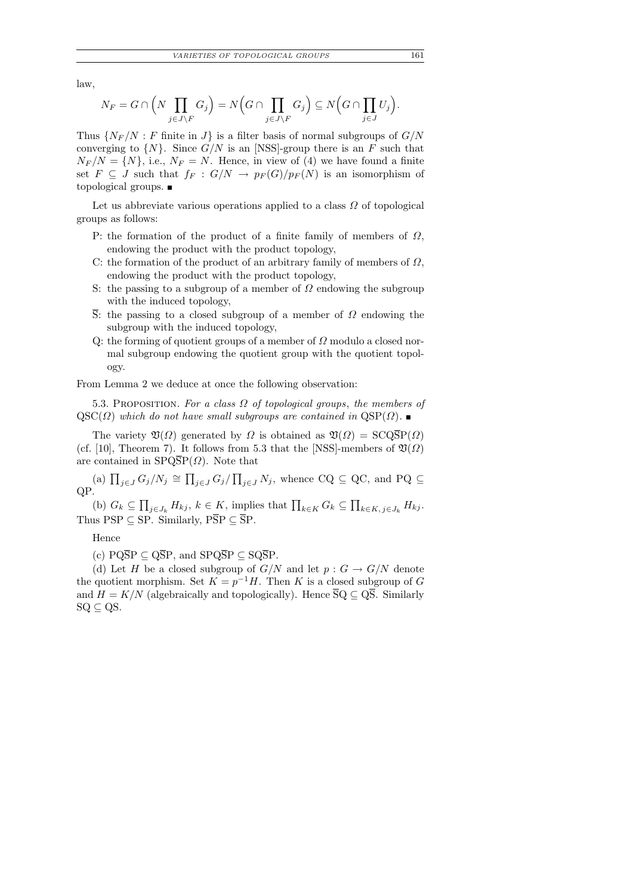law,

$$
N_F = G \cap \left( N \prod_{j \in J \setminus F} G_j \right) = N \left( G \cap \prod_{j \in J \setminus F} G_j \right) \subseteq N \left( G \cap \prod_{j \in J} U_j \right).
$$

Thus  $\{N_F/N : F$  finite in  $J\}$  is a filter basis of normal subgroups of  $G/N$ converging to  $\{N\}$ . Since  $G/N$  is an [NSS]-group there is an F such that  $N_F/N = \{N\}$ , i.e.,  $N_F = N$ . Hence, in view of (4) we have found a finite set  $F \subseteq J$  such that  $f_F : G/N \to p_F(G)/p_F(N)$  is an isomorphism of topological groups.

Let us abbreviate various operations applied to a class  $\Omega$  of topological groups as follows:

- P: the formation of the product of a finite family of members of  $\Omega$ , endowing the product with the product topology,
- C: the formation of the product of an arbitrary family of members of  $\Omega$ , endowing the product with the product topology,
- S: the passing to a subgroup of a member of  $\Omega$  endowing the subgroup with the induced topology,
- $\overline{S}$ : the passing to a closed subgroup of a member of  $\Omega$  endowing the subgroup with the induced topology,
- Q: the forming of quotient groups of a member of  $\Omega$  modulo a closed normal subgroup endowing the quotient group with the quotient topology.

From Lemma 2 we deduce at once the following observation:

5.3. PROPOSITION. For a class  $\Omega$  of topological groups, the members of  $QSC(\Omega)$  which do not have small subgroups are contained in  $QSP(\Omega)$ .

The variety  $\mathfrak{V}(\Omega)$  generated by  $\Omega$  is obtained as  $\mathfrak{V}(\Omega) = \text{SCQ}\overline{\text{SP}}(\Omega)$ (cf. [10], Theorem 7). It follows from 5.3 that the [NSS]-members of  $\mathfrak{V}(\Omega)$ are contained in  $SPQ\overline{SP}(\Omega)$ . Note that

(a)  $\prod_{j\in J} G_j/N_j \cong \prod_{j\in J} G_j/\prod_{j\in J} N_j$ , whence  $CQ \subseteq QC$ , and  $PQ \subseteq$ QP.

(b)  $G_k \subseteq \prod_{j \in J_k} H_{kj}$ ,  $k \in K$ , implies that  $\prod_{k \in K} G_k \subseteq \prod_{k \in K, j \in J_k} H_{kj}$ . Thus PSP  $\subseteq$  SP. Similarly, P $\overline{SP} \subseteq \overline{SP}$ .

Hence

(c)  $PQ\overline{S}P \subseteq Q\overline{S}P$ , and  $SPQ\overline{S}P \subseteq SQ\overline{S}P$ .

(d) Let H be a closed subgroup of  $G/N$  and let  $p : G \to G/N$  denote the quotient morphism. Set  $K = p^{-1}H$ . Then K is a closed subgroup of G and  $H = K/N$  (algebraically and topologically). Hence  $\overline{S}Q \subseteq Q\overline{S}$ . Similarly  $SQ \subseteq QS$ .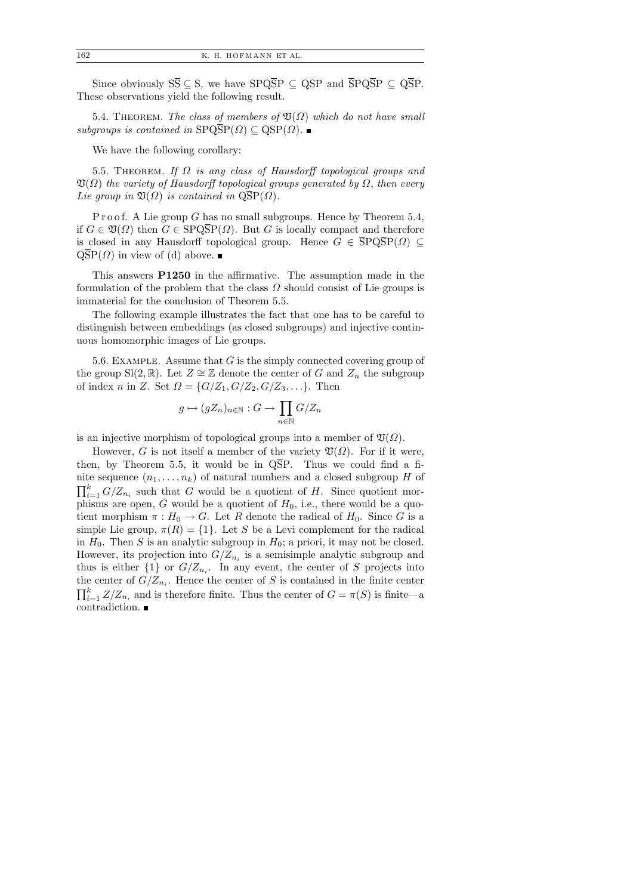Since obviously  $S\overline{S} \subseteq S$ , we have  $SPQ\overline{S}P \subseteq QSP$  and  $\overline{S}PQ\overline{S}P \subseteq Q\overline{S}P$ . These observations yield the following result.

5.4. THEOREM. The class of members of  $\mathfrak{V}(\Omega)$  which do not have small subgroups is contained in  $SPQ\overline{SP}(\Omega) \subseteq QSP(\Omega)$ .

We have the following corollary:

5.5. THEOREM. If  $\Omega$  is any class of Hausdorff topological groups and  $\mathfrak{V}(\Omega)$  the variety of Hausdorff topological groups generated by  $\Omega$ , then every Lie group in  $\mathfrak{V}(\Omega)$  is contained in  $\widetilde{\mathrm{QSP}}(\Omega)$ .

P r o o f. A Lie group G has no small subgroups. Hence by Theorem  $5.4$ , if  $G \in \mathfrak{V}(\Omega)$  then  $G \in$  SPQSP( $\Omega$ ). But G is locally compact and therefore is closed in any Hausdorff topological group. Hence  $G \in \overline{\text{SPQSP}}(\Omega) \subseteq$  $\text{QSP}(\Omega)$  in view of (d) above.

This answers P1250 in the affirmative. The assumption made in the formulation of the problem that the class  $\Omega$  should consist of Lie groups is immaterial for the conclusion of Theorem 5.5.

The following example illustrates the fact that one has to be careful to distinguish between embeddings (as closed subgroups) and injective continuous homomorphic images of Lie groups.

5.6. EXAMPLE. Assume that  $G$  is the simply connected covering group of the group Sl(2, R). Let  $Z \cong \mathbb{Z}$  denote the center of G and  $Z_n$  the subgroup of index n in Z. Set  $\Omega = \{G/Z_1, G/Z_2, G/Z_3, \ldots\}$ . Then

$$
g \mapsto (gZ_n)_{n \in \mathbb{N}} : G \to \prod_{n \in \mathbb{N}} G/Z_n
$$

is an injective morphism of topological groups into a member of  $\mathfrak{V}(\Omega)$ .

However, G is not itself a member of the variety  $\mathfrak{V}(\Omega)$ . For if it were, then, by Theorem 5.5, it would be in  $\overline{QSP}$ . Thus we could find a finite sequence  $(n_1, \ldots, n_k)$  of natural numbers and a closed subgroup H of  $\prod_{i=1}^{k} G/Z_{n_i}$  such that G would be a quotient of H. Since quotient morphisms are open, G would be a quotient of  $H_0$ , i.e., there would be a quotient morphism  $\pi : H_0 \to G$ . Let R denote the radical of  $H_0$ . Since G is a simple Lie group,  $\pi(R) = \{1\}$ . Let S be a Levi complement for the radical in  $H_0$ . Then S is an analytic subgroup in  $H_0$ ; a priori, it may not be closed. However, its projection into  $G/Z_{n_i}$  is a semisimple analytic subgroup and thus is either  $\{1\}$  or  $G/Z_{n_i}$ . In any event, the center of S projects into the center of  $G/Z_{n_i}$ . Hence the center of S is contained in the finite center  $\prod_{i=1}^{k} Z/Z_{n_i}$  and is therefore finite. Thus the center of  $G = \pi(S)$  is finite—a contradiction.  $\blacksquare$